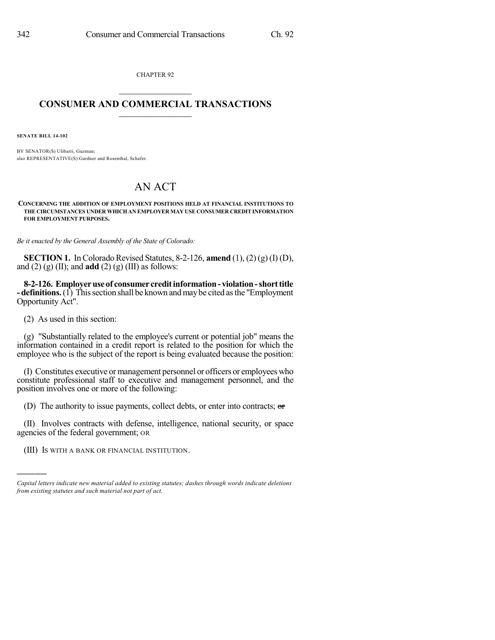CHAPTER 92  $\mathcal{L}_\text{max}$  . The set of the set of the set of the set of the set of the set of the set of the set of the set of the set of the set of the set of the set of the set of the set of the set of the set of the set of the set

## **CONSUMER AND COMMERCIAL TRANSACTIONS**  $\_$   $\_$   $\_$   $\_$   $\_$   $\_$   $\_$   $\_$

**SENATE BILL 14-102**

BY SENATOR(S) Ulibarri, Guzman; also REPRESENTATIVE(S) Gardner and Rosenthal, Schafer.

## AN ACT

**CONCERNING THE ADDITION OF EMPLOYMENT POSITIONS HELD AT FINANCIAL INSTITUTIONS TO THE CIRCUMSTANCES UNDER WHICH AN EMPLOYER MAY USE CONSUMER CREDIT INFORMATION FOR EMPLOYMENT PURPOSES.**

*Be it enacted by the General Assembly of the State of Colorado:*

**SECTION 1.** In Colorado Revised Statutes, 8-2-126, **amend**  $(1)$ ,  $(2)$   $(g)$   $(I)$   $(D)$ , and  $(2)$   $(g)$   $(II)$ ; and **add**  $(2)$   $(g)$   $(III)$  as follows:

**8-2-126. Employeruseof consumer creditinformation- violation-shorttitle - definitions.**(1) Thissection shall be known andmaybe cited asthe "Employment Opportunity Act".

(2) As used in this section:

)))))

(g) "Substantially related to the employee's current or potential job" means the information contained in a credit report is related to the position for which the employee who is the subject of the report is being evaluated because the position:

(I) Constitutes executive or management personnel or officers or employees who constitute professional staff to executive and management personnel, and the position involves one or more of the following:

(D) The authority to issue payments, collect debts, or enter into contracts; or

(II) Involves contracts with defense, intelligence, national security, or space agencies of the federal government; OR

(III) IS WITH A BANK OR FINANCIAL INSTITUTION.

*Capital letters indicate new material added to existing statutes; dashes through words indicate deletions from existing statutes and such material not part of act.*